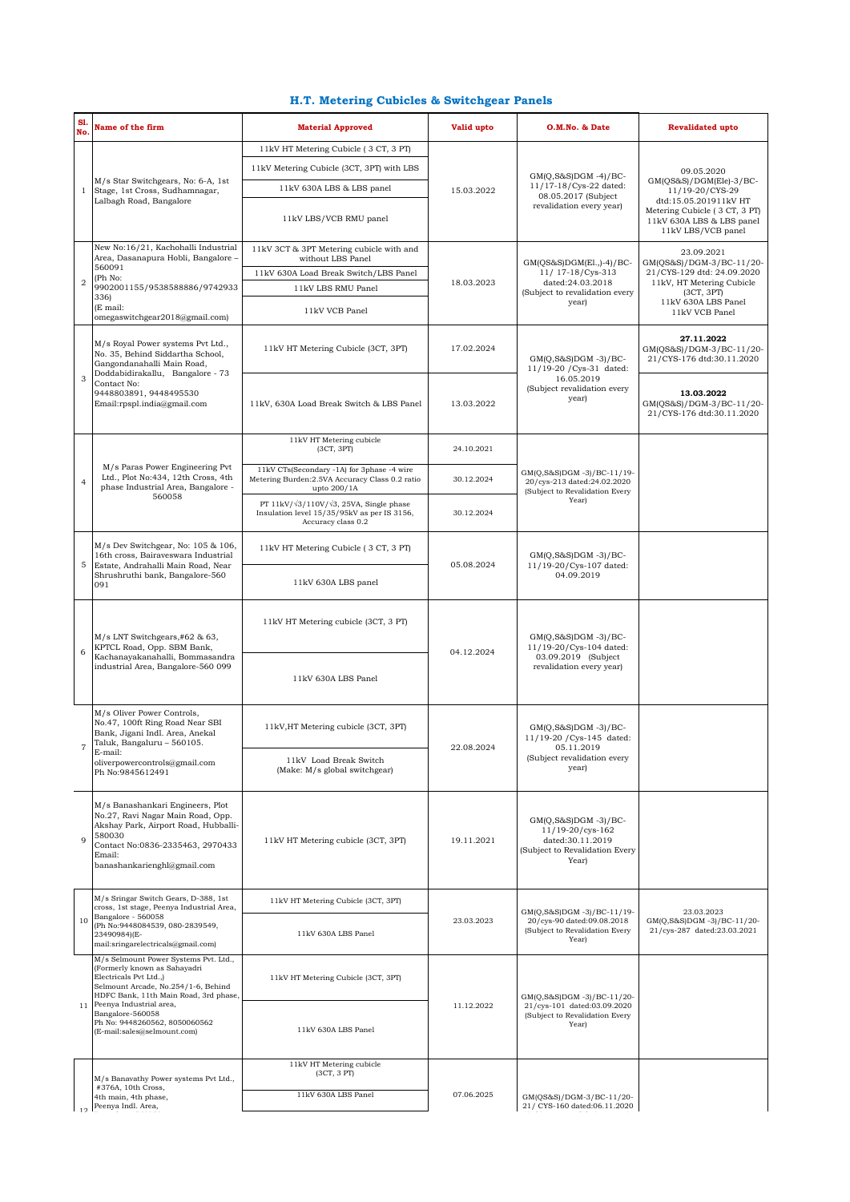## **H.T. Metering Cubicles & Switchgear Panels**

| SI.<br>No.     | Name of the firm                                                                                                                                                                                                                                                                               | <b>Material Approved</b>                                                                                                    | Valid upto | O.M.No. & Date                                                                                               | <b>Revalidated upto</b>                                                                                                                                               |
|----------------|------------------------------------------------------------------------------------------------------------------------------------------------------------------------------------------------------------------------------------------------------------------------------------------------|-----------------------------------------------------------------------------------------------------------------------------|------------|--------------------------------------------------------------------------------------------------------------|-----------------------------------------------------------------------------------------------------------------------------------------------------------------------|
|                | M/s Star Switchgears, No: 6-A, 1st<br>Stage, 1st Cross, Sudhamnagar,<br>Lalbagh Road, Bangalore                                                                                                                                                                                                | 11kV HT Metering Cubicle (3 CT, 3 PT)                                                                                       | 15.03.2022 |                                                                                                              |                                                                                                                                                                       |
|                |                                                                                                                                                                                                                                                                                                | 11kV Metering Cubicle (3CT, 3PT) with LBS                                                                                   |            | $GM(Q,S&S)DGM -4)/BC-$<br>11/17-18/Cys-22 dated:<br>08.05.2017 (Subject<br>revalidation every year)          | 09.05.2020<br>GM(QS&S)/DGM(Ele)-3/BC-<br>11/19-20/CYS-29<br>dtd:15.05.201911kV HT<br>Metering Cubicle (3 CT, 3 PT)<br>11kV 630A LBS & LBS panel<br>11kV LBS/VCB panel |
| 1              |                                                                                                                                                                                                                                                                                                | 11kV 630A LBS & LBS panel                                                                                                   |            |                                                                                                              |                                                                                                                                                                       |
|                |                                                                                                                                                                                                                                                                                                | 11kV LBS/VCB RMU panel                                                                                                      |            |                                                                                                              |                                                                                                                                                                       |
| $\overline{2}$ | New No:16/21, Kachohalli Industrial<br>Area, Dasanapura Hobli, Bangalore -<br>560091<br>(Ph No:<br>9902001155/9538588886/9742933<br>336)<br>(E mail:<br>omegaswitchgear2018@gmail.com)                                                                                                         | 11kV 3CT & 3PT Metering cubicle with and<br>without LBS Panel                                                               | 18.03.2023 | GM(QS&S)DGM(El.,)-4)/BC-<br>11/ 17-18/Cys-313<br>dated:24.03.2018<br>(Subject to revalidation every<br>year) | 23.09.2021<br>GM(OS&S)/DGM-3/BC-11/20-<br>21/CYS-129 dtd: 24.09.2020<br>11kV, HT Metering Cubicle<br>(3CT, 3PT)<br>11kV 630A LBS Panel<br>11kV VCB Panel              |
|                |                                                                                                                                                                                                                                                                                                | 11kV 630A Load Break Switch/LBS Panel                                                                                       |            |                                                                                                              |                                                                                                                                                                       |
|                |                                                                                                                                                                                                                                                                                                | 11kV LBS RMU Panel                                                                                                          |            |                                                                                                              |                                                                                                                                                                       |
|                |                                                                                                                                                                                                                                                                                                | 11kV VCB Panel                                                                                                              |            |                                                                                                              |                                                                                                                                                                       |
| 3              | M/s Royal Power systems Pvt Ltd.,<br>No. 35, Behind Siddartha School,<br>Gangondanahalli Main Road,<br>Doddabidirakallu, Bangalore - 73<br>Contact No:<br>9448803891, 9448495530<br>Email:rpspl.india@gmail.com                                                                                | 11kV HT Metering Cubicle (3CT, 3PT)                                                                                         | 17.02.2024 | $GM(Q,S&S)DGM -3)/BC-$<br>11/19-20 / Cys-31 dated:<br>16.05.2019<br>(Subject revalidation every<br>year)     | 27.11.2022<br>GM(QS&S)/DGM-3/BC-11/20-<br>21/CYS-176 dtd:30.11.2020                                                                                                   |
|                |                                                                                                                                                                                                                                                                                                | 11kV, 630A Load Break Switch & LBS Panel                                                                                    | 13.03.2022 |                                                                                                              | 13.03.2022<br>GM(QS&S)/DGM-3/BC-11/20-<br>21/CYS-176 dtd:30.11.2020                                                                                                   |
|                | M/s Paras Power Engineering Pvt<br>Ltd., Plot No:434, 12th Cross, 4th<br>phase Industrial Area, Bangalore -<br>560058                                                                                                                                                                          | 11kV HT Metering cubicle<br>(3CT, 3PT)                                                                                      | 24.10.2021 | GM(Q,S&S)DGM-3)/BC-11/19-<br>20/cys-213 dated:24.02.2020<br>(Subject to Revalidation Every<br>Year)          |                                                                                                                                                                       |
| $\overline{4}$ |                                                                                                                                                                                                                                                                                                | 11kV CTs(Secondary -1A) for 3phase -4 wire<br>Metering Burden: 2.5VA Accuracy Class 0.2 ratio<br>upto 200/1A                | 30.12.2024 |                                                                                                              |                                                                                                                                                                       |
|                |                                                                                                                                                                                                                                                                                                | PT 11kV/ $\sqrt{3}/110V/\sqrt{3}$ , 25VA, Single phase<br>Insulation level 15/35/95kV as per IS 3156,<br>Accuracy class 0.2 | 30.12.2024 |                                                                                                              |                                                                                                                                                                       |
|                | $M/s$ Dev Switchgear, No: 105 & 106,<br>16th cross, Bairaveswara Industrial<br>Estate, Andrahalli Main Road, Near<br>Shrushruthi bank, Bangalore-560<br>091                                                                                                                                    | 11kV HT Metering Cubicle (3 CT, 3 PT)                                                                                       | 05.08.2024 | $GM(Q, S&S)DGM -3)/BC-$<br>11/19-20/Cys-107 dated:<br>04.09.2019                                             |                                                                                                                                                                       |
| 5              |                                                                                                                                                                                                                                                                                                | 11kV 630A LBS panel                                                                                                         |            |                                                                                                              |                                                                                                                                                                       |
|                | M/s LNT Switchgears,#62 & 63,<br>KPTCL Road, Opp. SBM Bank,<br>Kachanayakanahalli, Bommasandra<br>industrial Area, Bangalore-560 099                                                                                                                                                           | 11kV HT Metering cubicle (3CT, 3 PT)                                                                                        | 04.12.2024 | $GM(Q, S\&S)DGM -3)/BC-$<br>11/19-20/Cys-104 dated:<br>03.09.2019 (Subject<br>revalidation every year)       |                                                                                                                                                                       |
| 6              |                                                                                                                                                                                                                                                                                                | 11kV 630A LBS Panel                                                                                                         |            |                                                                                                              |                                                                                                                                                                       |
| $\overline{7}$ | M/s Oliver Power Controls,<br>No.47, 100ft Ring Road Near SBI<br>Bank, Jigani Indl. Area, Anekal<br>Taluk, Bangaluru - 560105.<br>E-mail:<br>oliverpowercontrols@gmail.com<br>Ph No:9845612491                                                                                                 | 11kV, HT Metering cubicle (3CT, 3PT)                                                                                        | 22.08.2024 | $GM(Q, S&S)DGM -3)/BC-$<br>11/19-20 / Cys-145 dated:<br>05.11.2019<br>(Subject revalidation every<br>year)   |                                                                                                                                                                       |
|                |                                                                                                                                                                                                                                                                                                | 11kV Load Break Switch<br>(Make: M/s global switchgear)                                                                     |            |                                                                                                              |                                                                                                                                                                       |
| 9              | M/s Banashankari Engineers, Plot<br>No.27, Ravi Nagar Main Road, Opp.<br>Akshay Park, Airport Road, Hubballi-<br>580030<br>Contact No:0836-2335463, 2970433<br>Email:<br>banashankarienghl@gmail.com                                                                                           | 11kV HT Metering cubicle (3CT, 3PT)                                                                                         | 19.11.2021 | GM(Q,S&S)DGM -3)/BC-<br>11/19-20/cys-162<br>dated:30.11.2019<br>(Subject to Revalidation Every<br>Year)      |                                                                                                                                                                       |
| 10             | M/s Sringar Switch Gears, D-388, 1st<br>cross, 1st stage, Peenya Industrial Area,<br>Bangalore - 560058<br>(Ph No:9448084539, 080-2839549,<br>23490984)(E-<br>mail:sringarelectricals@gmail.com)                                                                                               | 11kV HT Metering Cubicle (3CT, 3PT)                                                                                         | 23.03.2023 | GM(Q,S&S)DGM-3)/BC-11/19-<br>20/cys-90 dated:09.08.2018<br>(Subject to Revalidation Every<br>Year)           | 23.03.2023<br>GM(Q,S&S)DGM -3)/BC-11/20-<br>21/cys-287 dated:23.03.2021                                                                                               |
|                |                                                                                                                                                                                                                                                                                                | 11kV 630A LBS Panel                                                                                                         |            |                                                                                                              |                                                                                                                                                                       |
| 11             | M/s Selmount Power Systems Pvt. Ltd.,<br>(Formerly known as Sahayadri<br>Electricals Pvt Ltd.,)<br>Selmount Arcade, No.254/1-6, Behind<br>HDFC Bank, 11th Main Road, 3rd phase,<br>Peenya Industrial area,<br>Bangalore-560058<br>Ph No: 9448260562, 8050060562<br>(E-mail:sales@selmount.com) | 11kV HT Metering Cubicle (3CT, 3PT)                                                                                         | 11.12.2022 | GM(Q,S&S)DGM -3)/BC-11/20-<br>21/cys-101 dated:03.09.2020<br>(Subject to Revalidation Every<br>Year)         |                                                                                                                                                                       |
|                |                                                                                                                                                                                                                                                                                                | 11kV 630A LBS Panel                                                                                                         |            |                                                                                                              |                                                                                                                                                                       |
|                |                                                                                                                                                                                                                                                                                                | 11kV HT Metering cubicle<br>(3CT, 3 PT)                                                                                     |            |                                                                                                              |                                                                                                                                                                       |
| 12             | M/s Banavathy Power systems Pvt Ltd.,<br>#376A, 10th Cross,<br>4th main, 4th phase,<br>Peenya Indl. Area,                                                                                                                                                                                      |                                                                                                                             | 07.06.2025 |                                                                                                              |                                                                                                                                                                       |
|                |                                                                                                                                                                                                                                                                                                | 11kV 630A LBS Panel                                                                                                         |            | GM(QS&S)/DGM-3/BC-11/20-<br>21/ CYS-160 dated:06.11.2020                                                     |                                                                                                                                                                       |